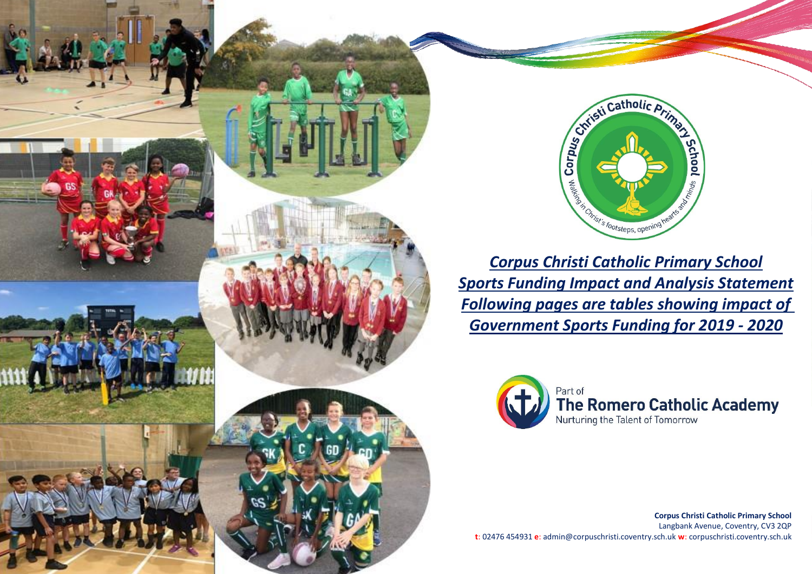



*Corpus Christi Catholic Primary School Sports Funding Impact and Analysis Statement Following pages are tables showing impact of Government Sports Funding for 2019 - 2020*



**Corpus Christi Catholic Primary School** Langbank Avenue, Coventry, CV3 2QP **t**: 02476 454931 **e**: admin@corpuschristi.coventry.sch.uk **w**: corpuschristi.coventry.sch.uk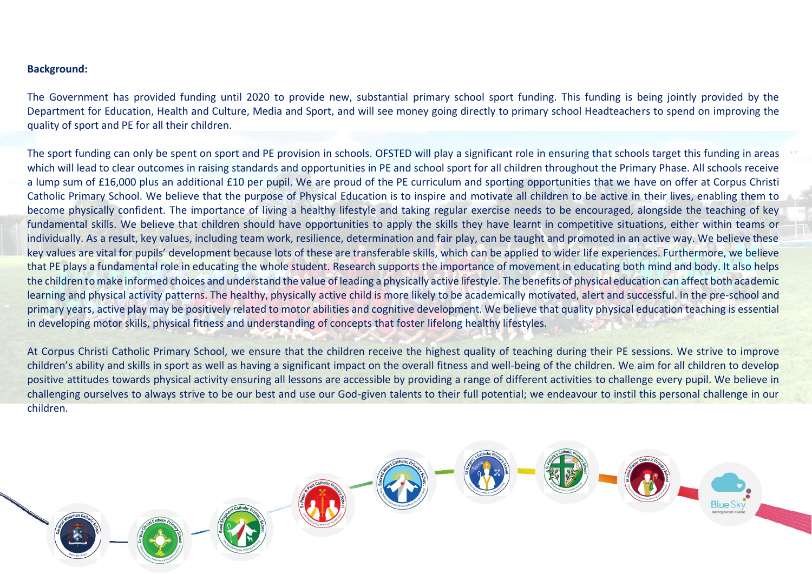## **Background:**

The Government has provided funding until 2020 to provide new, substantial primary school sport funding. This funding is being jointly provided by the Department for Education, Health and Culture, Media and Sport, and will see money going directly to primary school Headteachers to spend on improving the quality of sport and PE for all their children.

The sport funding can only be spent on sport and PE provision in schools. OFSTED will play a significant role in ensuring that schools target this funding in areas which will lead to clear outcomes in raising standards and opportunities in PE and school sport for all children throughout the Primary Phase. All schools receive a lump sum of £16,000 plus an additional £10 per pupil. We are proud of the PE curriculum and sporting opportunities that we have on offer at Corpus Christi Catholic Primary School. We believe that the purpose of Physical Education is to inspire and motivate all children to be active in their lives, enabling them to become physically confident. The importance of living a healthy lifestyle and taking regular exercise needs to be encouraged, alongside the teaching of key fundamental skills. We believe that children should have opportunities to apply the skills they have learnt in competitive situations, either within teams or individually. As a result, key values, including team work, resilience, determination and fair play, can be taught and promoted in an active way. We believe these key values are vital for pupils' development because lots of these are transferable skills, which can be applied to wider life experiences. Furthermore, we believe that PE plays a fundamental role in educating the whole student. Research supports the importance of movement in educating both mind and body. It also helps the children to make informed choices and understand the value of leading a physically active lifestyle. The benefits of physical education can affect both academic learning and physical activity patterns. The healthy, physically active child is more likely to be academically motivated, alert and successful. In the pre-school and primary years, active play may be positively related to motor abilities and cognitive development. We believe that quality physical education teaching is essential in developing motor skills, physical fitness and understanding of concepts that foster lifelong healthy lifestyles.

At Corpus Christi Catholic Primary School, we ensure that the children receive the highest quality of teaching during their PE sessions. We strive to improve children's ability and skills in sport as well as having a significant impact on the overall fitness and well-being of the children. We aim for all children to develop positive attitudes towards physical activity ensuring all lessons are accessible by providing a range of different activities to challenge every pupil. We believe in challenging ourselves to always strive to be our best and use our God-given talents to their full potential; we endeavour to instil this personal challenge in our children.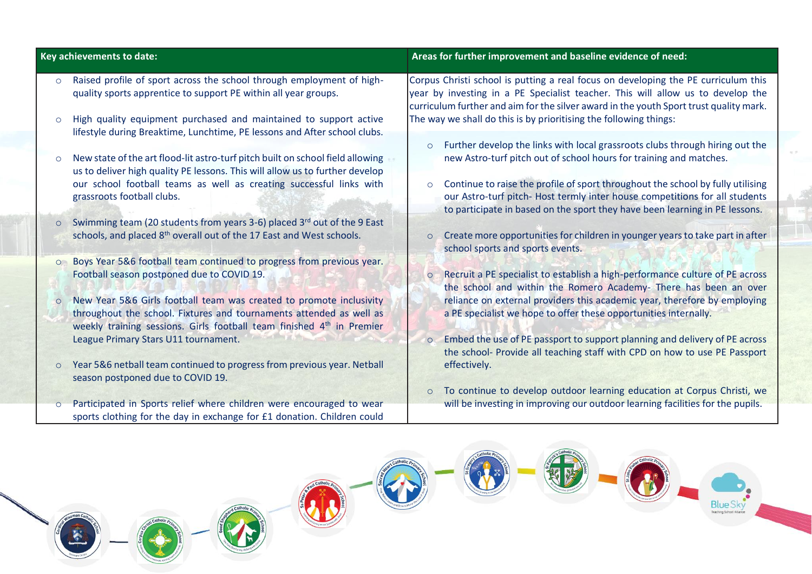|         | Key achievements to date:                                                                                                                                                                                           | Areas for further improvement and baseline evidence of need:                                                                                                                                                                                                    |
|---------|---------------------------------------------------------------------------------------------------------------------------------------------------------------------------------------------------------------------|-----------------------------------------------------------------------------------------------------------------------------------------------------------------------------------------------------------------------------------------------------------------|
| $\circ$ | Raised profile of sport across the school through employment of high-<br>quality sports apprentice to support PE within all year groups.                                                                            | Corpus Christi school is putting a real focus on developing the PE curriculum this<br>year by investing in a PE Specialist teacher. This will allow us to develop the<br>curriculum further and aim for the silver award in the youth Sport trust quality mark. |
| $\circ$ | High quality equipment purchased and maintained to support active<br>lifestyle during Breaktime, Lunchtime, PE lessons and After school clubs.                                                                      | The way we shall do this is by prioritising the following things:                                                                                                                                                                                               |
| $\circ$ | New state of the art flood-lit astro-turf pitch built on school field allowing<br>us to deliver high quality PE lessons. This will allow us to further develop                                                      | Further develop the links with local grassroots clubs through hiring out the<br>$\circ$<br>new Astro-turf pitch out of school hours for training and matches.                                                                                                   |
|         | our school football teams as well as creating successful links with<br>grassroots football clubs.                                                                                                                   | Continue to raise the profile of sport throughout the school by fully utilising<br>our Astro-turf pitch- Host termly inter house competitions for all students<br>to participate in based on the sport they have been learning in PE lessons.                   |
| $\circ$ | Swimming team (20 students from years 3-6) placed 3rd out of the 9 East<br>schools, and placed 8 <sup>th</sup> overall out of the 17 East and West schools.                                                         | Create more opportunities for children in younger years to take part in after<br>$\circ$<br>school sports and sports events.                                                                                                                                    |
| $\circ$ | Boys Year 5&6 football team continued to progress from previous year.<br>Football season postponed due to COVID 19.                                                                                                 | Recruit a PE specialist to establish a high-performance culture of PE across<br>$\circ$<br>the school and within the Romero Academy- There has been an over                                                                                                     |
| $\circ$ | New Year 5&6 Girls football team was created to promote inclusivity<br>throughout the school. Fixtures and tournaments attended as well as<br>weekly training sessions. Girls football team finished 4th in Premier | reliance on external providers this academic year, therefore by employing<br>a PE specialist we hope to offer these opportunities internally.                                                                                                                   |
| $\circ$ | League Primary Stars U11 tournament.<br>Year 5&6 netball team continued to progress from previous year. Netball                                                                                                     | Embed the use of PE passport to support planning and delivery of PE across<br>$\circ$<br>the school- Provide all teaching staff with CPD on how to use PE Passport<br>effectively.                                                                              |
| $\circ$ | season postponed due to COVID 19.<br>Participated in Sports relief where children were encouraged to wear<br>sports clothing for the day in exchange for £1 donation. Children could                                | To continue to develop outdoor learning education at Corpus Christi, we<br>$\circ$<br>will be investing in improving our outdoor learning facilities for the pupils.                                                                                            |

 $\left(\frac{1}{2},\frac{1}{2}\right)$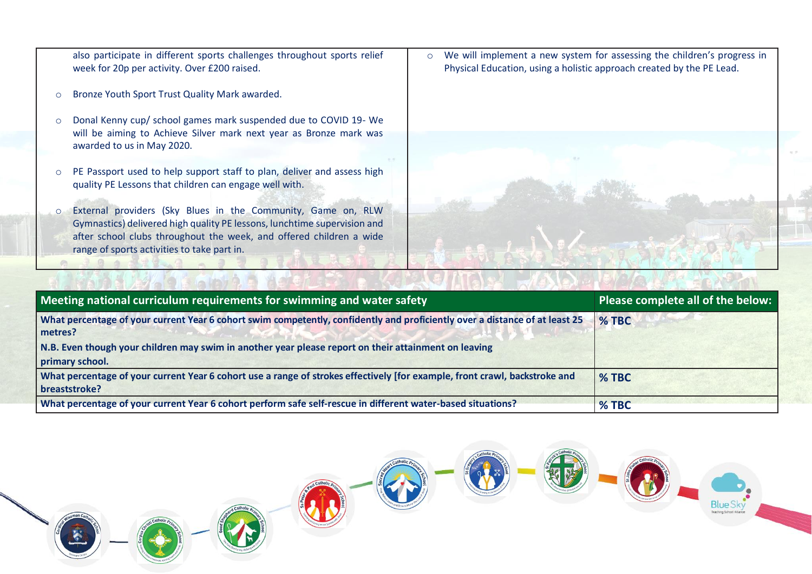also participate in different sports challenges throughout sports relief week for 20p per activity. Over £200 raised.

- o Bronze Youth Sport Trust Quality Mark awarded.
- o Donal Kenny cup/ school games mark suspended due to COVID 19- We will be aiming to Achieve Silver mark next year as Bronze mark was awarded to us in May 2020.
- o PE Passport used to help support staff to plan, deliver and assess high quality PE Lessons that children can engage well with.
- o External providers (Sky Blues in the Community, Game on, RLW Gymnastics) delivered high quality PE lessons, lunchtime supervision and after school clubs throughout the week, and offered children a wide range of sports activities to take part in.

o We will implement a new system for assessing the children's progress in Physical Education, using a holistic approach created by the PE Lead.



| Meeting national curriculum requirements for swimming and water safety                                                                      | Please complete all of the below: |
|---------------------------------------------------------------------------------------------------------------------------------------------|-----------------------------------|
| What percentage of your current Year 6 cohort swim competently, confidently and proficiently over a distance of at least 25<br>metres?      | $%$ TBC                           |
| N.B. Even though your children may swim in another year please report on their attainment on leaving                                        |                                   |
| primary school.                                                                                                                             |                                   |
| What percentage of your current Year 6 cohort use a range of strokes effectively [for example, front crawl, backstroke and<br>breaststroke? | % TBC                             |
| What percentage of your current Year 6 cohort perform safe self-rescue in different water-based situations?                                 | % TBC                             |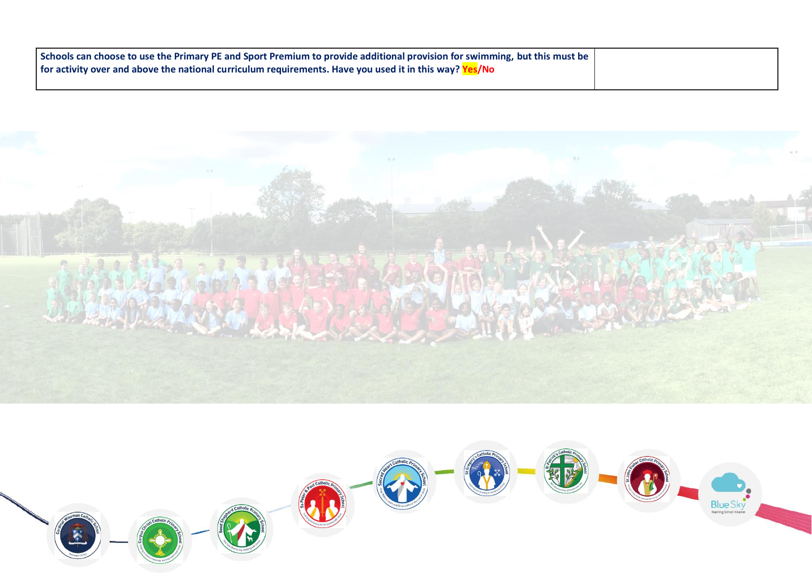| Schools can choose to use the Primary PE and Sport Premium to provide additional provision for swimming, but this must be |  |
|---------------------------------------------------------------------------------------------------------------------------|--|
| for activity over and above the national curriculum requirements. Have you used it in this way? $Yes/No$                  |  |
|                                                                                                                           |  |



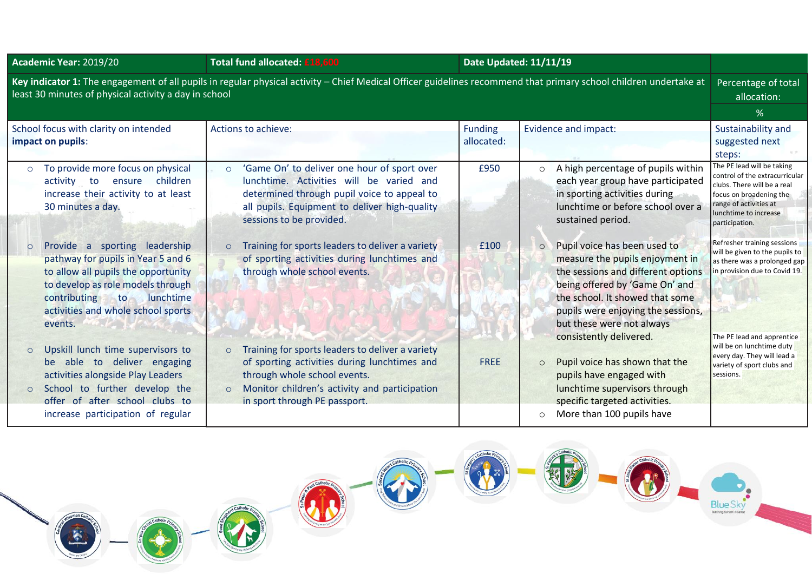| Academic Year: 2019/20                                                                                                                                                                                                                            | Total fund allocated: £18,600                                                                                                                                                                                                                                                                                                                 |                              | Date Updated: 11/11/19                                                                                                                                                                                                                           |                                                                                                                                                                                                                                                                                              |  |
|---------------------------------------------------------------------------------------------------------------------------------------------------------------------------------------------------------------------------------------------------|-----------------------------------------------------------------------------------------------------------------------------------------------------------------------------------------------------------------------------------------------------------------------------------------------------------------------------------------------|------------------------------|--------------------------------------------------------------------------------------------------------------------------------------------------------------------------------------------------------------------------------------------------|----------------------------------------------------------------------------------------------------------------------------------------------------------------------------------------------------------------------------------------------------------------------------------------------|--|
| Key indicator 1: The engagement of all pupils in regular physical activity – Chief Medical Officer guidelines recommend that primary school children undertake at<br>Percentage of total<br>least 30 minutes of physical activity a day in school |                                                                                                                                                                                                                                                                                                                                               |                              |                                                                                                                                                                                                                                                  |                                                                                                                                                                                                                                                                                              |  |
| School focus with clarity on intended<br>impact on pupils:                                                                                                                                                                                        | Actions to achieve:                                                                                                                                                                                                                                                                                                                           | <b>Funding</b><br>allocated: | Evidence and impact:                                                                                                                                                                                                                             | Sustainability and<br>suggested next<br>steps:                                                                                                                                                                                                                                               |  |
| To provide more focus on physical<br>$\circ$<br>children<br>activity to ensure<br>increase their activity to at least<br>30 minutes a day.<br>Provide a sporting leadership<br>$\circ$<br>pathway for pupils in Year 5 and 6                      | 'Game On' to deliver one hour of sport over<br>$\circ$<br>lunchtime. Activities will be varied and<br>determined through pupil voice to appeal to<br>all pupils. Equipment to deliver high-quality<br>sessions to be provided.<br>Training for sports leaders to deliver a variety<br>$\circ$<br>of sporting activities during lunchtimes and | £950<br>£100                 | A high percentage of pupils within<br>each year group have participated<br>in sporting activities during<br>lunchtime or before school over a<br>sustained period.<br>Pupil voice has been used to<br>$\circ$<br>measure the pupils enjoyment in | The PE lead will be taking<br>control of the extracurricular<br>clubs. There will be a real<br>focus on broadening the<br>range of activities at<br>lunchtime to increase<br>participation.<br>Refresher training sessions<br>will be given to the pupils to<br>as there was a prolonged gap |  |
| to allow all pupils the opportunity<br>to develop as role models through<br>contributing<br>lunchtime<br>to<br>activities and whole school sports<br>events.                                                                                      | through whole school events.                                                                                                                                                                                                                                                                                                                  |                              | the sessions and different options<br>being offered by 'Game On' and<br>the school. It showed that some<br>pupils were enjoying the sessions,<br>but these were not always<br>consistently delivered.                                            | in provision due to Covid 19.<br>The PE lead and apprentice                                                                                                                                                                                                                                  |  |
| Upskill lunch time supervisors to<br>$\circ$<br>be able to deliver engaging<br>activities alongside Play Leaders<br>School to further develop the<br>$\circ$<br>offer of after school clubs to<br>increase participation of regular               | Training for sports leaders to deliver a variety<br>$\circ$<br>of sporting activities during lunchtimes and<br>through whole school events.<br>Monitor children's activity and participation<br>$\circ$<br>in sport through PE passport.                                                                                                      | <b>FREE</b>                  | Pupil voice has shown that the<br>$\circ$<br>pupils have engaged with<br>lunchtime supervisors through<br>specific targeted activities.<br>More than 100 pupils have<br>$\circ$                                                                  | will be on lunchtime duty<br>every day. They will lead a<br>variety of sport clubs and<br>sessions.                                                                                                                                                                                          |  |

 $\mathsf{L}$ 

N<sup>x</sup> Ü 80

 $catholi$ 

K



Catholic

Blue Sky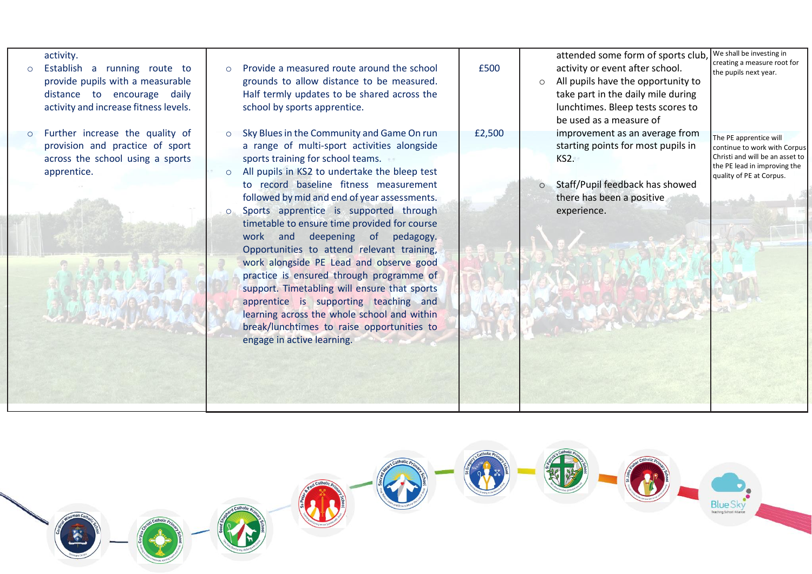| activity.<br>Establish a running route to<br>provide pupils with a measurable<br>distance to encourage daily<br>activity and increase fitness levels. | Provide a measured route around the school<br>$\Omega$<br>grounds to allow distance to be measured.<br>Half termly updates to be shared across the<br>school by sports apprentice.                                                                                                                                                                                                                                                                                                                                                                                                                                                                                                                                                                                                               | £500   | attended some form of sports club,<br>activity or event after school.<br>All pupils have the opportunity to<br>$\circ$<br>take part in the daily mile during<br>lunchtimes. Bleep tests scores to<br>be used as a measure of | We shall be investing in<br>creating a measure root for<br>the pupils next year.                                                                      |
|-------------------------------------------------------------------------------------------------------------------------------------------------------|--------------------------------------------------------------------------------------------------------------------------------------------------------------------------------------------------------------------------------------------------------------------------------------------------------------------------------------------------------------------------------------------------------------------------------------------------------------------------------------------------------------------------------------------------------------------------------------------------------------------------------------------------------------------------------------------------------------------------------------------------------------------------------------------------|--------|------------------------------------------------------------------------------------------------------------------------------------------------------------------------------------------------------------------------------|-------------------------------------------------------------------------------------------------------------------------------------------------------|
| Further increase the quality of<br>provision and practice of sport<br>across the school using a sports<br>apprentice.                                 | Sky Blues in the Community and Game On run<br>$\circ$<br>a range of multi-sport activities alongside<br>sports training for school teams.<br>All pupils in KS2 to undertake the bleep test<br>$\circ$<br>to record baseline fitness measurement<br>followed by mid and end of year assessments.<br>Sports apprentice is supported through<br>$\circ$<br>timetable to ensure time provided for course<br>work and deepening of pedagogy.<br>Opportunities to attend relevant training,<br>work alongside PE Lead and observe good<br>practice is ensured through programme of<br>support. Timetabling will ensure that sports<br>apprentice is supporting teaching and<br>learning across the whole school and within<br>break/lunchtimes to raise opportunities to<br>engage in active learning. | £2,500 | improvement as an average from<br>starting points for most pupils in<br>KS2.<br>Staff/Pupil feedback has showed<br>$\circ$<br>there has been a positive<br>experience.                                                       | The PE apprentice will<br>continue to work with Corpus<br>Christi and will be an asset to<br>the PE lead in improving the<br>quality of PE at Corpus. |

3

Catholic<sub>p</sub>

B

区

O

 $\left(\bigcup_{i=1}^{\infty}\right)^{n}$ 

Catholic<sub>p</sub>

U.

Blue Sky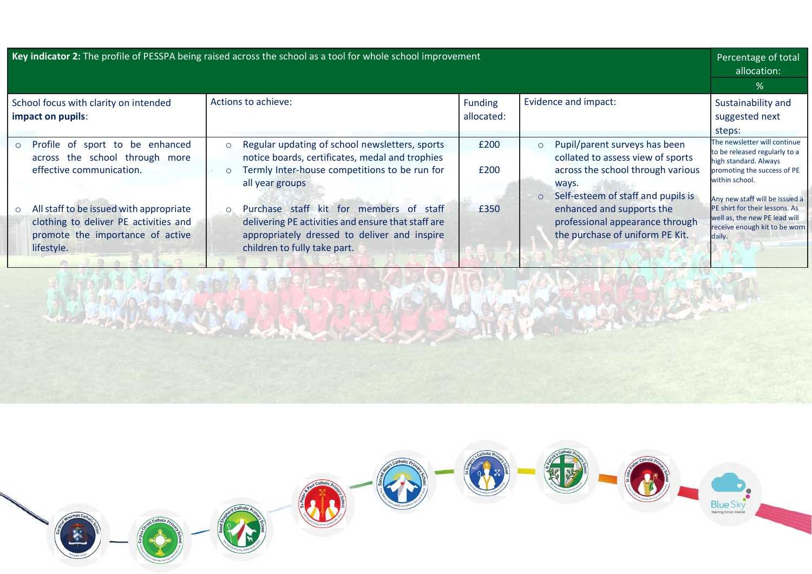| Key indicator 2: The profile of PESSPA being raised across the school as a tool for whole school improvement                                                                                                                                     |                                                                                                                                                                                                                                                                                                                                                                                         |                              |                                                                                                                                                                                                                                                                                 | Percentage of total<br>allocation:                                                                                                                                                                                                                                                      |
|--------------------------------------------------------------------------------------------------------------------------------------------------------------------------------------------------------------------------------------------------|-----------------------------------------------------------------------------------------------------------------------------------------------------------------------------------------------------------------------------------------------------------------------------------------------------------------------------------------------------------------------------------------|------------------------------|---------------------------------------------------------------------------------------------------------------------------------------------------------------------------------------------------------------------------------------------------------------------------------|-----------------------------------------------------------------------------------------------------------------------------------------------------------------------------------------------------------------------------------------------------------------------------------------|
|                                                                                                                                                                                                                                                  |                                                                                                                                                                                                                                                                                                                                                                                         |                              |                                                                                                                                                                                                                                                                                 | %                                                                                                                                                                                                                                                                                       |
| School focus with clarity on intended<br>impact on pupils:                                                                                                                                                                                       | Actions to achieve:                                                                                                                                                                                                                                                                                                                                                                     | <b>Funding</b><br>allocated: | Evidence and impact:                                                                                                                                                                                                                                                            | Sustainability and<br>suggested next<br>steps:                                                                                                                                                                                                                                          |
| o Profile of sport to be enhanced<br>across the school through more<br>effective communication.<br>All staff to be issued with appropriate<br>$\circ$<br>clothing to deliver PE activities and<br>promote the importance of active<br>lifestyle. | Regular updating of school newsletters, sports<br>$\circ$<br>notice boards, certificates, medal and trophies<br>Termly Inter-house competitions to be run for<br>$\circ$<br>all year groups<br>Purchase staff kit for members of staff<br>$\circ$<br>delivering PE activities and ensure that staff are<br>appropriately dressed to deliver and inspire<br>children to fully take part. | £200<br>£200<br>£350         | Pupil/parent surveys has been<br>$\circ$<br>collated to assess view of sports<br>across the school through various<br>ways.<br>Self-esteem of staff and pupils is<br>$\circ$<br>enhanced and supports the<br>professional appearance through<br>the purchase of uniform PE Kit. | The newsletter will continue<br>to be released regularly to a<br>high standard. Always<br>promoting the success of PE<br>within school.<br>Any new staff will be issued a<br>PE shirt for their lessons. As<br>well as, the new PE lead will<br>receive enough kit to be worn<br>daily. |



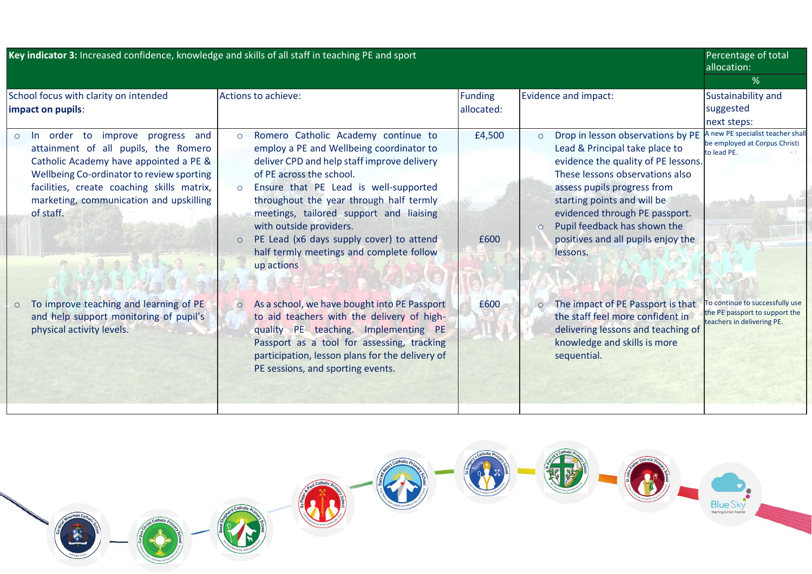| Key indicator 3: Increased confidence, knowledge and skills of all staff in teaching PE and sport |                                                                                                                                                                                                                                                                               |                                                                                                                                                                                                                                                                                                                                                                                                                                                             |                | Percentage of total<br>allocation:                                                                                                                                                                                                                                                                                                                     |                                                                                                 |
|---------------------------------------------------------------------------------------------------|-------------------------------------------------------------------------------------------------------------------------------------------------------------------------------------------------------------------------------------------------------------------------------|-------------------------------------------------------------------------------------------------------------------------------------------------------------------------------------------------------------------------------------------------------------------------------------------------------------------------------------------------------------------------------------------------------------------------------------------------------------|----------------|--------------------------------------------------------------------------------------------------------------------------------------------------------------------------------------------------------------------------------------------------------------------------------------------------------------------------------------------------------|-------------------------------------------------------------------------------------------------|
|                                                                                                   | School focus with clarity on intended                                                                                                                                                                                                                                         | Actions to achieve:                                                                                                                                                                                                                                                                                                                                                                                                                                         | <b>Funding</b> | Evidence and impact:                                                                                                                                                                                                                                                                                                                                   | %<br>Sustainability and                                                                         |
|                                                                                                   | impact on pupils:                                                                                                                                                                                                                                                             |                                                                                                                                                                                                                                                                                                                                                                                                                                                             | allocated:     |                                                                                                                                                                                                                                                                                                                                                        | suggested<br>next steps:                                                                        |
| $\circ$                                                                                           | to improve progress and<br>- In<br>order<br>attainment of all pupils, the Romero<br>Catholic Academy have appointed a PE &<br>Wellbeing Co-ordinator to review sporting<br>facilities, create coaching skills matrix,<br>marketing, communication and upskilling<br>of staff. | Romero Catholic Academy continue to<br>$\circ$<br>employ a PE and Wellbeing coordinator to<br>deliver CPD and help staff improve delivery<br>of PE across the school.<br>Ensure that PE Lead is well-supported<br>$\circ$<br>throughout the year through half termly<br>meetings, tailored support and liaising<br>with outside providers.<br>PE Lead (x6 days supply cover) to attend<br>$\circ$<br>half termly meetings and complete follow<br>up actions | £4,500<br>£600 | Drop in lesson observations by PE<br>$\circ$<br>Lead & Principal take place to<br>evidence the quality of PE lessons.<br>These lessons observations also<br>assess pupils progress from<br>starting points and will be<br>evidenced through PE passport.<br>Pupil feedback has shown the<br>$\Omega$<br>positives and all pupils enjoy the<br>lessons. | A new PE specialist teacher shall<br>be employed at Corpus Christi<br>to lead PE.               |
| $\circ$                                                                                           | To improve teaching and learning of PE<br>and help support monitoring of pupil's<br>physical activity levels.                                                                                                                                                                 | As a school, we have bought into PE Passport<br>$\circ$<br>to aid teachers with the delivery of high-<br>quality PE teaching. Implementing PE<br>Passport as a tool for assessing, tracking<br>participation, lesson plans for the delivery of<br>PE sessions, and sporting events.                                                                                                                                                                         | £600           | o The impact of PE Passport is that<br>the staff feel more confident in<br>delivering lessons and teaching of<br>knowledge and skills is more<br>sequential.                                                                                                                                                                                           | To continue to successfully use<br>the PE passport to support the<br>teachers in delivering PE. |

 $c<sub>at</sub>$ 'n **School** 

家

Catholic 海陵

W

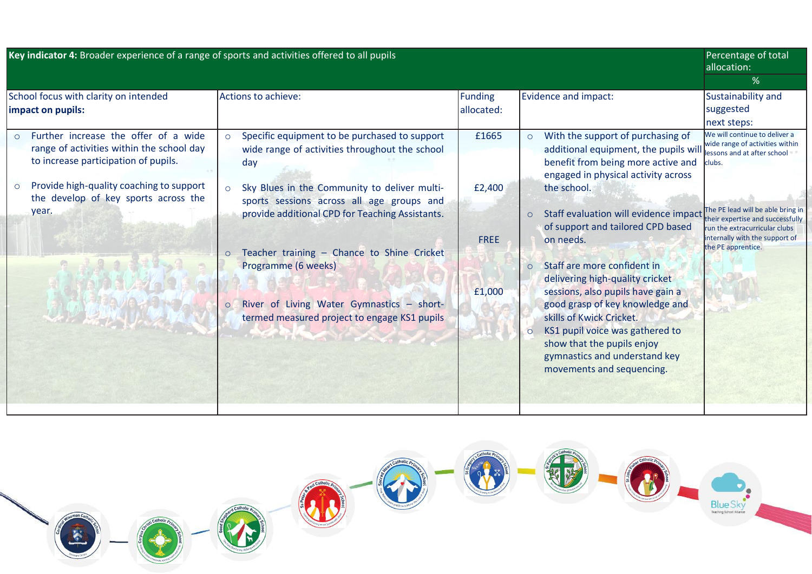|                                                            | Key indicator 4: Broader experience of a range of sports and activities offered to all pupils                             |                                                                                                                                                         |                              |                                                                                                                                                                                                                                 | Percentage of total<br>allocation:                                                                        |
|------------------------------------------------------------|---------------------------------------------------------------------------------------------------------------------------|---------------------------------------------------------------------------------------------------------------------------------------------------------|------------------------------|---------------------------------------------------------------------------------------------------------------------------------------------------------------------------------------------------------------------------------|-----------------------------------------------------------------------------------------------------------|
|                                                            |                                                                                                                           |                                                                                                                                                         |                              |                                                                                                                                                                                                                                 | %                                                                                                         |
| School focus with clarity on intended<br>impact on pupils: |                                                                                                                           | Actions to achieve:                                                                                                                                     | <b>Funding</b><br>allocated: | Evidence and impact:                                                                                                                                                                                                            | Sustainability and<br>suggested<br>next steps:                                                            |
|                                                            | Further increase the offer of a wide<br>range of activities within the school day<br>to increase participation of pupils. | Specific equipment to be purchased to support<br>$\circ$<br>wide range of activities throughout the school<br>day                                       | £1665                        | With the support of purchasing of<br>$\circ$<br>additional equipment, the pupils will<br>benefit from being more active and<br>engaged in physical activity across                                                              | We will continue to deliver a<br>wide range of activities within<br>lessons and at after school<br>clubs. |
|                                                            | Provide high-quality coaching to support<br>the develop of key sports across the<br>year.                                 | Sky Blues in the Community to deliver multi-<br>$\circ$<br>sports sessions across all age groups and<br>provide additional CPD for Teaching Assistants. | £2,400                       | the school.<br>Staff evaluation will evidence impact<br>$\circ$<br>of support and tailored CPD based                                                                                                                            | The PE lead will be able bring in<br>their expertise and successfully<br>run the extracurricular clubs    |
|                                                            |                                                                                                                           | Teacher training - Chance to Shine Cricket<br>$\circ$<br>Programme (6 weeks)                                                                            | <b>FREE</b>                  | on needs.<br>Staff are more confident in<br>delivering high-quality cricket                                                                                                                                                     | internally with the support of<br>the PE apprentice.                                                      |
|                                                            |                                                                                                                           | River of Living Water Gymnastics - short-<br>$\circ$<br>termed measured project to engage KS1 pupils<br>the first the control of the control of         | £1,000                       | sessions, also pupils have gain a<br>good grasp of key knowledge and<br>skills of Kwick Cricket.<br>KS1 pupil voice was gathered to<br>show that the pupils enjoy<br>gymnastics and understand key<br>movements and sequencing. |                                                                                                           |
|                                                            |                                                                                                                           |                                                                                                                                                         |                              |                                                                                                                                                                                                                                 |                                                                                                           |